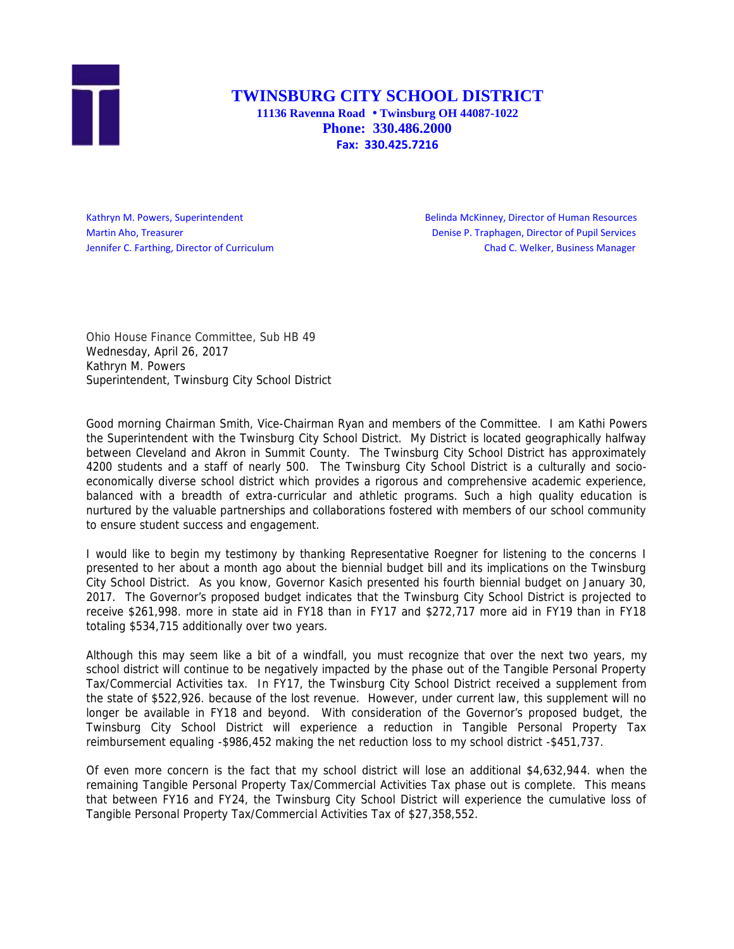

## **TWINSBURG CITY SCHOOL DISTRICT 11136 Ravenna Road Twinsburg OH 44087-1022 Phone: 330.486.2000**

**Fax: 330.425.7216**

Kathryn M. Powers, Superintendent **Belinda McKinney, Director of Human Resources** Martin Aho, Treasurer **Denise P. Traphagen, Director of Pupil Services** Denise P. Traphagen, Director of Pupil Services Jennifer C. Farthing, Director of Curriculum Chad C. Welker, Business Manager

Ohio House Finance Committee, Sub HB 49 Wednesday, April 26, 2017 Kathryn M. Powers Superintendent, Twinsburg City School District

Good morning Chairman Smith, Vice-Chairman Ryan and members of the Committee. I am Kathi Powers the Superintendent with the Twinsburg City School District. My District is located geographically halfway between Cleveland and Akron in Summit County. The Twinsburg City School District has approximately 4200 students and a staff of nearly 500. The Twinsburg City School District is a culturally and socio economically diverse school district which provides a rigorous and comprehensive academic experience, balanced with a breadth of extra-curricular and athletic programs. Such a high quality education is nurtured by the valuable partnerships and collaborations fostered with members of our school community to ensure student success and engagement.

I would like to begin my testimony by thanking Representative Roegner for listening to the concerns I presented to her about a month ago about the biennial budget bill and its implications on the Twinsburg City School District. As you know, Governor Kasich presented his fourth biennial budget on January 30, 2017. The Governor's proposed budget indicates that the Twinsburg City School District is projected to receive \$261,998. more in state aid in FY18 than in FY17 and \$272,717 more aid in FY19 than in FY18 totaling \$534,715 additionally over two years.

Although this may seem like a bit of a windfall, you must recognize that over the next two years, my school district will continue to be negatively impacted by the phase out of the Tangible Personal Property Tax/Commercial Activities tax. In FY17, the Twinsburg City School District received a supplement from the state of \$522,926. because of the lost revenue. However, under current law, this supplement will no longer be available in FY18 and beyond. With consideration of the Governor's proposed budget, the Twinsburg City School District will experience a reduction in Tangible Personal Property Tax reimbursement equaling -\$986,452 making the net reduction loss to my school district -\$451,737.

Of even more concern is the fact that my school district will lose an additional \$4,632,944. when the remaining Tangible Personal Property Tax/Commercial Activities Tax phase out is complete. This means that between FY16 and FY24, the Twinsburg City School District will experience the cumulative loss of Tangible Personal Property Tax/Commercial Activities Tax of \$27,358,552.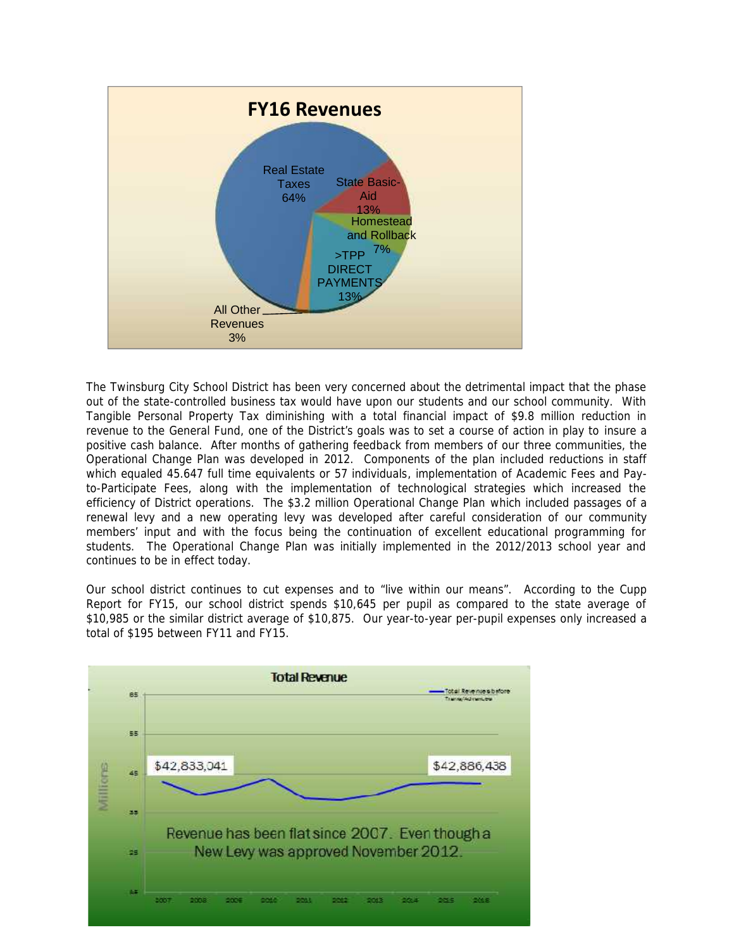

The Twinsburg City School District has been very concerned about the detrimental impact that the phase out of the state-controlled business tax would have upon our students and our school community. With Tangible Personal Property Tax diminishing with a total financial impact of \$9.8 million reduction in revenue to the General Fund, one of the District's goals was to set a course of action in play to insure a positive cash balance. After months of gathering feedback from members of our three communities, the Operational Change Plan was developed in 2012. Components of the plan included reductions in staff which equaled 45.647 full time equivalents or 57 individuals, implementation of Academic Fees and Payto-Participate Fees, along with the implementation of technological strategies which increased the efficiency of District operations. The \$3.2 million Operational Change Plan which included passages of a renewal levy and a new operating levy was developed after careful consideration of our community members' input and with the focus being the continuation of excellent educational programming for students. The Operational Change Plan was initially implemented in the 2012/2013 school year and continues to be in effect today.

Our school district continues to cut expenses and to "live within our means". According to the Cupp Report for FY15, our school district spends \$10,645 per pupil as compared to the state average of \$10,985 or the similar district average of \$10,875. Our year-to-year per-pupil expenses only increased a total of \$195 between FY11 and FY15.

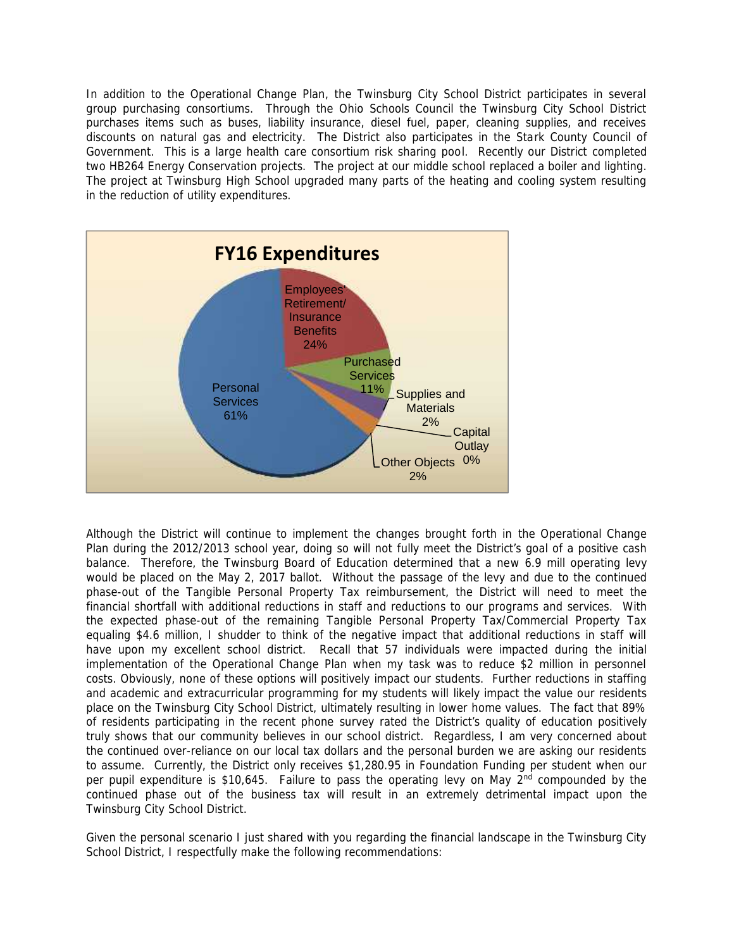In addition to the Operational Change Plan, the Twinsburg City School District participates in several group purchasing consortiums. Through the Ohio Schools Council the Twinsburg City School District purchases items such as buses, liability insurance, diesel fuel, paper, cleaning supplies, and receives discounts on natural gas and electricity. The District also participates in the Stark County Council of Government. This is a large health care consortium risk sharing pool. Recently our District completed two HB264 Energy Conservation projects. The project at our middle school replaced a boiler and lighting. The project at Twinsburg High School upgraded many parts of the heating and cooling system resulting in the reduction of utility expenditures.



Although the District will continue to implement the changes brought forth in the Operational Change Plan during the 2012/2013 school year, doing so will not fully meet the District's goal of a positive cash balance. Therefore, the Twinsburg Board of Education determined that a new 6.9 mill operating levy would be placed on the May 2, 2017 ballot. Without the passage of the levy and due to the continued phase-out of the Tangible Personal Property Tax reimbursement, the District will need to meet the financial shortfall with additional reductions in staff and reductions to our programs and services. With the expected phase-out of the remaining Tangible Personal Property Tax/Commercial Property Tax equaling \$4.6 million, I shudder to think of the negative impact that additional reductions in staff will have upon my excellent school district. Recall that 57 individuals were impacted during the initial implementation of the Operational Change Plan when my task was to reduce \$2 million in personnel costs. Obviously, none of these options will positively impact our students. Further reductions in staffing and academic and extracurricular programming for my students will likely impact the value our residents place on the Twinsburg City School District, ultimately resulting in lower home values. The fact that 89% of residents participating in the recent phone survey rated the District's quality of education positively truly shows that our community believes in our school district. Regardless, I am very concerned about the continued over-reliance on our local tax dollars and the personal burden we are asking our residents to assume. Currently, the District only receives \$1,280.95 in Foundation Funding per student when our per pupil expenditure is \$10,645. Failure to pass the operating levy on May 2<sup>nd</sup> compounded by the continued phase out of the business tax will result in an extremely detrimental impact upon the Twinsburg City School District.

Given the personal scenario I just shared with you regarding the financial landscape in the Twinsburg City School District, I respectfully make the following recommendations: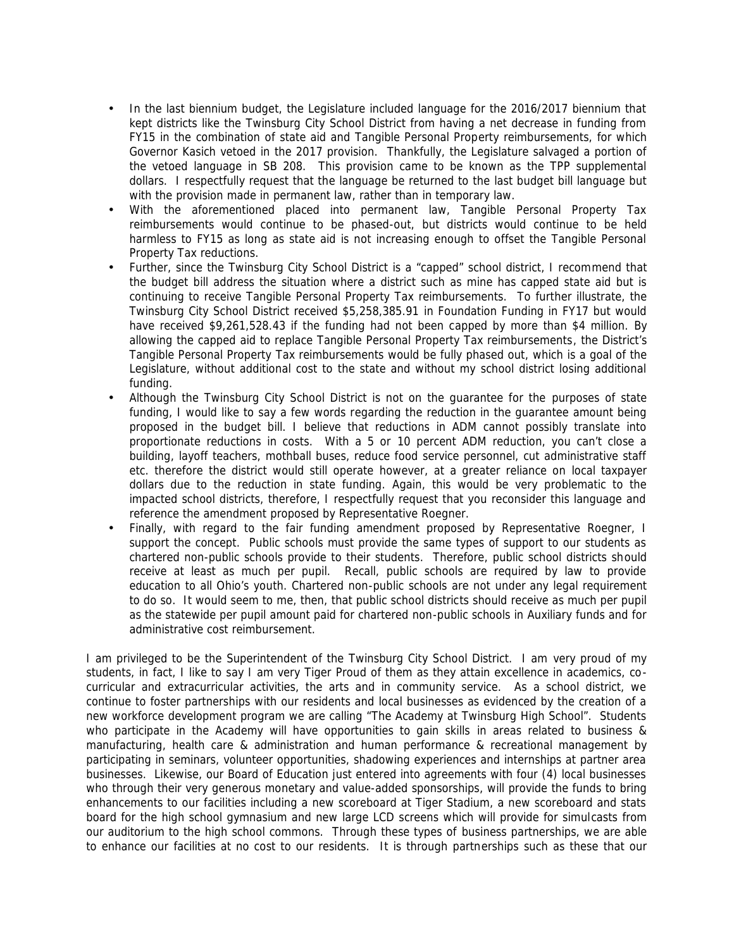- In the last biennium budget, the Legislature included language for the 2016/2017 biennium that kept districts like the Twinsburg City School District from having a net decrease in funding from FY15 in the combination of state aid and Tangible Personal Property reimbursements, for which Governor Kasich vetoed in the 2017 provision. Thankfully, the Legislature salvaged a portion of the vetoed language in SB 208. This provision came to be known as the TPP supplemental dollars. I respectfully request that the language be returned to the last budget bill language but with the provision made in permanent law, rather than in temporary law.
- With the aforementioned placed into permanent law, Tangible Personal Property Tax reimbursements would continue to be phased-out, but districts would continue to be held harmless to FY15 as long as state aid is not increasing enough to offset the Tangible Personal Property Tax reductions.
- Further, since the Twinsburg City School District is a "capped" school district, I recommend that the budget bill address the situation where a district such as mine has capped state aid but is continuing to receive Tangible Personal Property Tax reimbursements. To further illustrate, the Twinsburg City School District received \$5,258,385.91 in Foundation Funding in FY17 but would have received \$9,261,528.43 if the funding had not been capped by more than \$4 million. By allowing the capped aid to replace Tangible Personal Property Tax reimbursements, the District's Tangible Personal Property Tax reimbursements would be fully phased out, which is a goal of the Legislature, without additional cost to the state and without my school district losing additional funding.
- Although the Twinsburg City School District is not on the guarantee for the purposes of state funding, I would like to say a few words regarding the reduction in the guarantee amount being proposed in the budget bill. I believe that reductions in ADM cannot possibly translate into proportionate reductions in costs. With a 5 or 10 percent ADM reduction, you can't close a building, layoff teachers, mothball buses, reduce food service personnel, cut administrative staff etc. therefore the district would still operate however, at a greater reliance on local taxpayer dollars due to the reduction in state funding. Again, this would be very problematic to the impacted school districts, therefore, I respectfully request that you reconsider this language and reference the amendment proposed by Representative Roegner.
- Finally, with regard to the fair funding amendment proposed by Representative Roegner, I support the concept. Public schools must provide the same types of support to our students as chartered non-public schools provide to their students. Therefore, public school districts should receive at least as much per pupil. Recall, public schools are required by law to provide education to all Ohio's youth. Chartered non-public schools are not under any legal requirement to do so. It would seem to me, then, that public school districts should receive as much per pupil as the statewide per pupil amount paid for chartered non-public schools in Auxiliary funds and for administrative cost reimbursement.

I am privileged to be the Superintendent of the Twinsburg City School District. I am very proud of my students, in fact, I like to say I am very Tiger Proud of them as they attain excellence in academics, co curricular and extracurricular activities, the arts and in community service. As a school district, we continue to foster partnerships with our residents and local businesses as evidenced by the creation of a new workforce development program we are calling "The Academy at Twinsburg High School". Students who participate in the Academy will have opportunities to gain skills in areas related to business & manufacturing, health care & administration and human performance & recreational management by participating in seminars, volunteer opportunities, shadowing experiences and internships at partner area businesses. Likewise, our Board of Education just entered into agreements with four (4) local businesses who through their very generous monetary and value-added sponsorships, will provide the funds to bring enhancements to our facilities including a new scoreboard at Tiger Stadium, a new scoreboard and stats board for the high school gymnasium and new large LCD screens which will provide for simulcasts from our auditorium to the high school commons. Through these types of business partnerships, we are able to enhance our facilities at no cost to our residents. It is through partnerships such as these that our